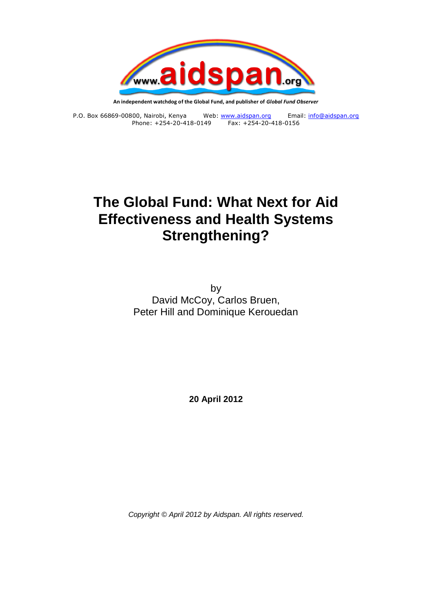

**An independent watchdog of the Global Fund, and publisher of** *Global Fund Observer*

P.O. Box 66869-00800, Nairobi, Kenya Web: [www.aidspan.org](http://www.aidspan.org/) Email[: info@aidspan.org](mailto:info@aidspan.org) Phone: +254-20-418-0149 Fax: +254-20-418-0156

# **The Global Fund: What Next for Aid Effectiveness and Health Systems Strengthening?**

by David McCoy, Carlos Bruen, Peter Hill and Dominique Kerouedan

**20 April 2012**

*Copyright © April 2012 by Aidspan. All rights reserved.*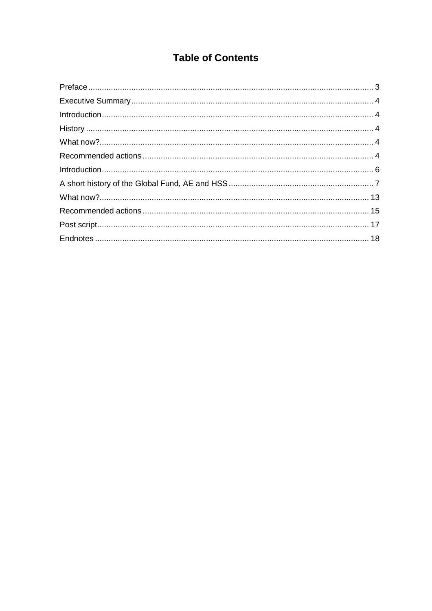# **Table of Contents**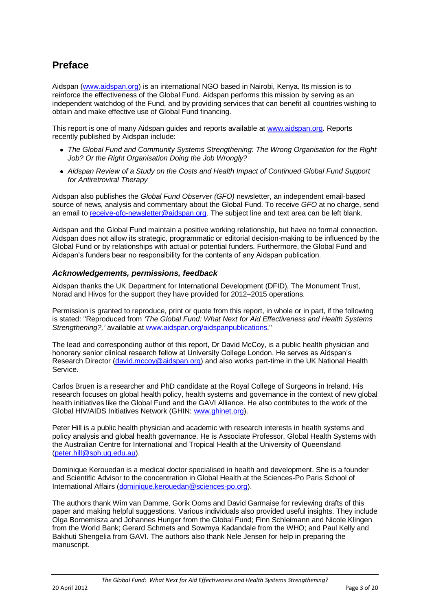# **Preface**

Aidspan [\(www.aidspan.org\)](http://www.aidspan.org/) is an international NGO based in Nairobi, Kenya. Its mission is to reinforce the effectiveness of the Global Fund. Aidspan performs this mission by serving as an independent watchdog of the Fund, and by providing services that can benefit all countries wishing to obtain and make effective use of Global Fund financing.

This report is one of many Aidspan guides and reports available at [www.aidspan.org.](http://www.aidspan.org/) Reports recently published by Aidspan include:

- *The Global Fund and Community Systems Strengthening: The Wrong Organisation for the Right Job? Or the Right Organisation Doing the Job Wrongly?*
- *Aidspan Review of a Study on the Costs and Health Impact of Continued Global Fund Support for Antiretroviral Therapy*

Aidspan also publishes the *Global Fund Observer (GFO)* newsletter, an independent email-based source of news, analysis and commentary about the Global Fund. To receive *GFO* at no charge, send an email t[o receive-gfo-newsletter@aidspan.org.](mailto:receive-gfo-newsletter@aidspan.org) The subject line and text area can be left blank.

Aidspan and the Global Fund maintain a positive working relationship, but have no formal connection. Aidspan does not allow its strategic, programmatic or editorial decision-making to be influenced by the Global Fund or by relationships with actual or potential funders. Furthermore, the Global Fund and Aidspan"s funders bear no responsibility for the contents of any Aidspan publication.

#### *Acknowledgements, permissions, feedback*

Aidspan thanks the UK Department for International Development (DFID), The Monument Trust, Norad and Hivos for the support they have provided for 2012–2015 operations.

Permission is granted to reproduce, print or quote from this report, in whole or in part, if the following is stated: "Reproduced from *'The Global Fund: What Next for Aid Effectiveness and Health Systems Strengthening?,'* available at [www.aidspan.org/aidspanpublications.](http://www.aidspan.org/aidspanpublications)"

The lead and corresponding author of this report, Dr David McCoy, is a public health physician and honorary senior clinical research fellow at University College London. He serves as Aidspan"s Research Director [\(david.mccoy@aidspan.org\)](mailto:david.mccoy@aidspan.org) and also works part-time in the UK National Health Service.

Carlos Bruen is a researcher and PhD candidate at the Royal College of Surgeons in Ireland. His research focuses on global health policy, health systems and governance in the context of new global health initiatives like the Global Fund and the GAVI Alliance. He also contributes to the work of the Global HIV/AIDS Initiatives Network (GHIN: [www.ghinet.org\)](http://www.ghinet.org/).

Peter Hill is a public health physician and academic with research interests in health systems and policy analysis and global health governance. He is Associate Professor, Global Health Systems with the Australian Centre for International and Tropical Health at the University of Queensland [\(peter.hill@sph.uq.edu.au\)](mailto:peter.hill@sph.uq.edu.au).

Dominique Kerouedan is a medical doctor specialised in health and development. She is a founder and Scientific Advisor to the concentration in Global Health at the Sciences-Po Paris School of International Affairs [\(dominique.kerouedan@sciences-po.org\)](mailto:dominique.kerouedan@sciences-po.org).

The authors thank Wim van Damme, Gorik Ooms and David Garmaise for reviewing drafts of this paper and making helpful suggestions. Various individuals also provided useful insights. They include Olga Bornemisza and Johannes Hunger from the Global Fund; Finn Schleimann and Nicole Klingen from the World Bank; Gerard Schmets and Sowmya Kadandale from the WHO; and Paul Kelly and Bakhuti Shengelia from GAVI. The authors also thank Nele Jensen for help in preparing the manuscript.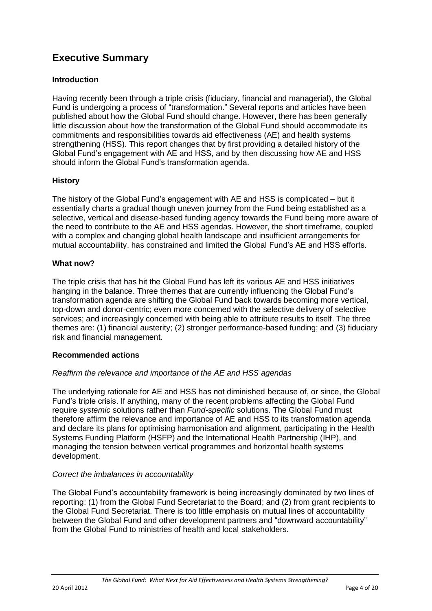# **Executive Summary**

### **Introduction**

Having recently been through a triple crisis (fiduciary, financial and managerial), the Global Fund is undergoing a process of "transformation." Several reports and articles have been published about how the Global Fund should change. However, there has been generally little discussion about how the transformation of the Global Fund should accommodate its commitments and responsibilities towards aid effectiveness (AE) and health systems strengthening (HSS). This report changes that by first providing a detailed history of the Global Fund"s engagement with AE and HSS, and by then discussing how AE and HSS should inform the Global Fund"s transformation agenda.

### **History**

The history of the Global Fund"s engagement with AE and HSS is complicated – but it essentially charts a gradual though uneven journey from the Fund being established as a selective, vertical and disease-based funding agency towards the Fund being more aware of the need to contribute to the AE and HSS agendas. However, the short timeframe, coupled with a complex and changing global health landscape and insufficient arrangements for mutual accountability, has constrained and limited the Global Fund"s AE and HSS efforts.

#### **What now?**

The triple crisis that has hit the Global Fund has left its various AE and HSS initiatives hanging in the balance. Three themes that are currently influencing the Global Fund"s transformation agenda are shifting the Global Fund back towards becoming more vertical, top-down and donor-centric; even more concerned with the selective delivery of selective services; and increasingly concerned with being able to attribute results to itself. The three themes are: (1) financial austerity; (2) stronger performance-based funding; and (3) fiduciary risk and financial management.

#### **Recommended actions**

#### *Reaffirm the relevance and importance of the AE and HSS agendas*

The underlying rationale for AE and HSS has not diminished because of, or since, the Global Fund"s triple crisis. If anything, many of the recent problems affecting the Global Fund require *systemic* solutions rather than *Fund-specific* solutions. The Global Fund must therefore affirm the relevance and importance of AE and HSS to its transformation agenda and declare its plans for optimising harmonisation and alignment, participating in the Health Systems Funding Platform (HSFP) and the International Health Partnership (IHP), and managing the tension between vertical programmes and horizontal health systems development.

#### *Correct the imbalances in accountability*

The Global Fund"s accountability framework is being increasingly dominated by two lines of reporting: (1) from the Global Fund Secretariat to the Board; and (2) from grant recipients to the Global Fund Secretariat. There is too little emphasis on mutual lines of accountability between the Global Fund and other development partners and "downward accountability" from the Global Fund to ministries of health and local stakeholders.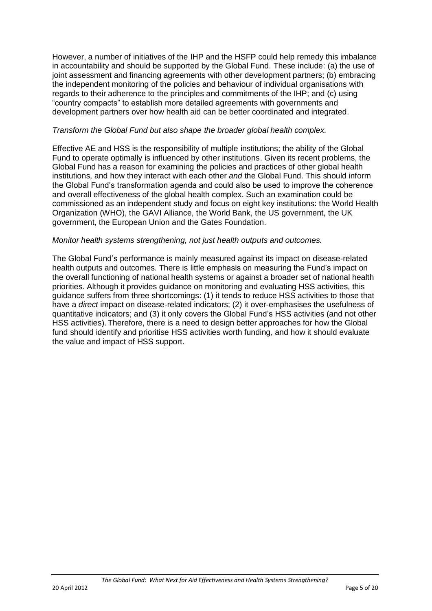However, a number of initiatives of the IHP and the HSFP could help remedy this imbalance in accountability and should be supported by the Global Fund. These include: (a) the use of joint assessment and financing agreements with other development partners; (b) embracing the independent monitoring of the policies and behaviour of individual organisations with regards to their adherence to the principles and commitments of the IHP; and (c) using "country compacts" to establish more detailed agreements with governments and development partners over how health aid can be better coordinated and integrated.

#### *Transform the Global Fund but also shape the broader global health complex.*

Effective AE and HSS is the responsibility of multiple institutions; the ability of the Global Fund to operate optimally is influenced by other institutions. Given its recent problems, the Global Fund has a reason for examining the policies and practices of other global health institutions, and how they interact with each other *and* the Global Fund. This should inform the Global Fund"s transformation agenda and could also be used to improve the coherence and overall effectiveness of the global health complex. Such an examination could be commissioned as an independent study and focus on eight key institutions: the World Health Organization (WHO), the GAVI Alliance, the World Bank, the US government, the UK government, the European Union and the Gates Foundation.

#### *Monitor health systems strengthening, not just health outputs and outcomes.*

The Global Fund"s performance is mainly measured against its impact on disease-related health outputs and outcomes. There is little emphasis on measuring the Fund"s impact on the overall functioning of national health systems or against a broader set of national health priorities. Although it provides guidance on monitoring and evaluating HSS activities, this guidance suffers from three shortcomings: (1) it tends to reduce HSS activities to those that have a *direct* impact on disease-related indicators; (2) it over-emphasises the usefulness of quantitative indicators; and (3) it only covers the Global Fund"s HSS activities (and not other HSS activities). Therefore, there is a need to design better approaches for how the Global fund should identify and prioritise HSS activities worth funding, and how it should evaluate the value and impact of HSS support.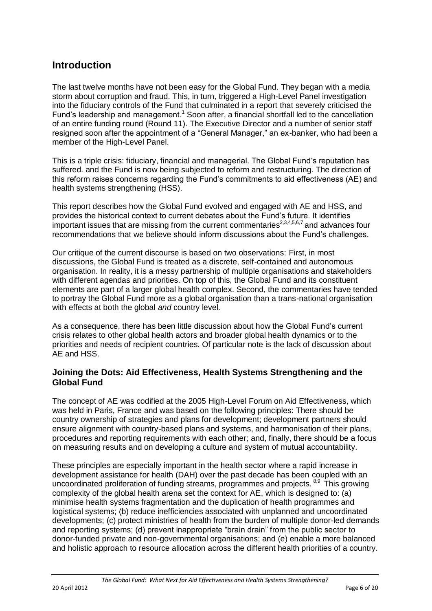# **Introduction**

The last twelve months have not been easy for the Global Fund. They began with a media storm about corruption and fraud. This, in turn, triggered a High-Level Panel investigation into the fiduciary controls of the Fund that culminated in a report that severely criticised the Fund's leadership and management.<sup>1</sup> Soon after, a financial shortfall led to the cancellation of an entire funding round (Round 11). The Executive Director and a number of senior staff resigned soon after the appointment of a "General Manager," an ex-banker, who had been a member of the High-Level Panel.

This is a triple crisis: fiduciary, financial and managerial. The Global Fund"s reputation has suffered. and the Fund is now being subjected to reform and restructuring. The direction of this reform raises concerns regarding the Fund"s commitments to aid effectiveness (AE) and health systems strengthening (HSS).

This report describes how the Global Fund evolved and engaged with AE and HSS, and provides the historical context to current debates about the Fund"s future. It identifies important issues that are missing from the current commentaries $^{2,3,4,5,6,7}$  and advances four recommendations that we believe should inform discussions about the Fund"s challenges.

Our critique of the current discourse is based on two observations: First, in most discussions, the Global Fund is treated as a discrete, self-contained and autonomous organisation. In reality, it is a messy partnership of multiple organisations and stakeholders with different agendas and priorities. On top of this, the Global Fund and its constituent elements are part of a larger global health complex. Second, the commentaries have tended to portray the Global Fund more as a global organisation than a trans-national organisation with effects at both the global *and* country level.

As a consequence, there has been little discussion about how the Global Fund"s current crisis relates to other global health actors and broader global health dynamics or to the priorities and needs of recipient countries. Of particular note is the lack of discussion about AE and HSS.

#### **Joining the Dots: Aid Effectiveness, Health Systems Strengthening and the Global Fund**

The concept of AE was codified at the 2005 High-Level Forum on Aid Effectiveness, which was held in Paris, France and was based on the following principles: There should be country ownership of strategies and plans for development; development partners should ensure alignment with country-based plans and systems, and harmonisation of their plans, procedures and reporting requirements with each other; and, finally, there should be a focus on measuring results and on developing a culture and system of mutual accountability.

These principles are especially important in the health sector where a rapid increase in development assistance for health (DAH) over the past decade has been coupled with an uncoordinated proliferation of funding streams, programmes and projects. <sup>8,9</sup> This growing complexity of the global health arena set the context for AE, which is designed to: (a) minimise health systems fragmentation and the duplication of health programmes and logistical systems; (b) reduce inefficiencies associated with unplanned and uncoordinated developments; (c) protect ministries of health from the burden of multiple donor-led demands and reporting systems; (d) prevent inappropriate "brain drain" from the public sector to donor-funded private and non-governmental organisations; and (e) enable a more balanced and holistic approach to resource allocation across the different health priorities of a country.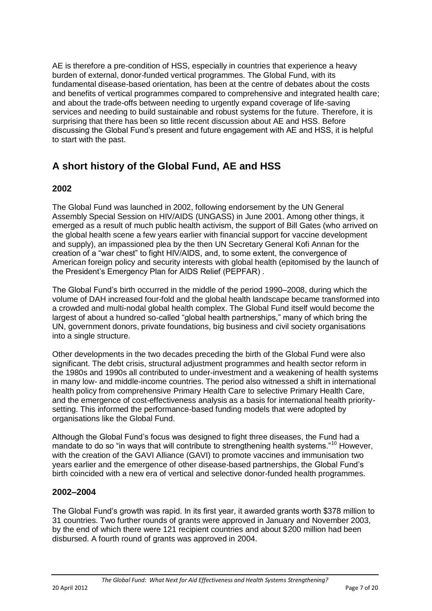AE is therefore a pre-condition of HSS, especially in countries that experience a heavy burden of external, donor-funded vertical programmes. The Global Fund, with its fundamental disease-based orientation, has been at the centre of debates about the costs and benefits of vertical programmes compared to comprehensive and integrated health care; and about the trade-offs between needing to urgently expand coverage of life-saving services and needing to build sustainable and robust systems for the future. Therefore, it is surprising that there has been so little recent discussion about AE and HSS. Before discussing the Global Fund"s present and future engagement with AE and HSS, it is helpful to start with the past.

# **A short history of the Global Fund, AE and HSS**

# **2002**

The Global Fund was launched in 2002, following endorsement by the UN General Assembly Special Session on HIV/AIDS (UNGASS) in June 2001. Among other things, it emerged as a result of much public health activism, the support of Bill Gates (who arrived on the global health scene a few years earlier with financial support for vaccine development and supply), an impassioned plea by the then UN Secretary General Kofi Annan for the creation of a "war chest" to fight HIV/AIDS, and, to some extent, the convergence of American foreign policy and security interests with global health (epitomised by the launch of the President"s Emergency Plan for AIDS Relief (PEPFAR) .

The Global Fund"s birth occurred in the middle of the period 1990–2008, during which the volume of DAH increased four-fold and the global health landscape became transformed into a crowded and multi-nodal global health complex. The Global Fund itself would become the largest of about a hundred so-called "global health partnerships," many of which bring the UN, government donors, private foundations, big business and civil society organisations into a single structure.

Other developments in the two decades preceding the birth of the Global Fund were also significant. The debt crisis, structural adjustment programmes and health sector reform in the 1980s and 1990s all contributed to under-investment and a weakening of health systems in many low- and middle-income countries. The period also witnessed a shift in international health policy from comprehensive Primary Health Care to selective Primary Health Care, and the emergence of cost-effectiveness analysis as a basis for international health prioritysetting. This informed the performance-based funding models that were adopted by organisations like the Global Fund.

Although the Global Fund"s focus was designed to fight three diseases, the Fund had a mandate to do so "in ways that will contribute to strengthening health systems."<sup>10</sup> However, with the creation of the GAVI Alliance (GAVI) to promote vaccines and immunisation two years earlier and the emergence of other disease-based partnerships, the Global Fund"s birth coincided with a new era of vertical and selective donor-funded health programmes.

## **2002–2004**

The Global Fund"s growth was rapid. In its first year, it awarded grants worth \$378 million to 31 countries. Two further rounds of grants were approved in January and November 2003, by the end of which there were 121 recipient countries and about \$200 million had been disbursed. A fourth round of grants was approved in 2004.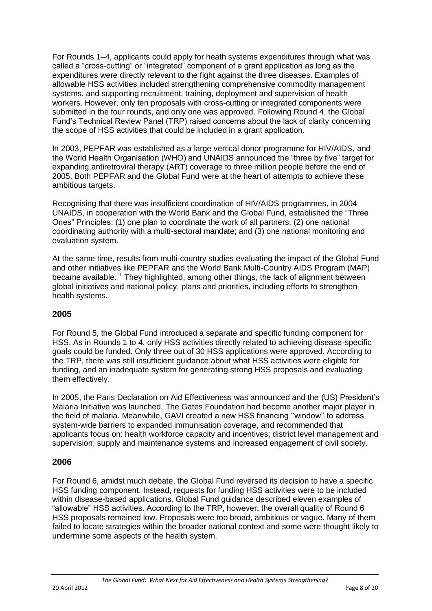For Rounds 1–4, applicants could apply for heath systems expenditures through what was called a "cross-cutting" or "integrated" component of a grant application as long as the expenditures were directly relevant to the fight against the three diseases. Examples of allowable HSS activities included strengthening comprehensive commodity management systems, and supporting recruitment, training, deployment and supervision of health workers. However, only ten proposals with cross-cutting or integrated components were submitted in the four rounds, and only one was approved. Following Round 4, the Global Fund"s Technical Review Panel (TRP) raised concerns about the lack of clarity concerning the scope of HSS activities that could be included in a grant application.

In 2003, PEPFAR was established as a large vertical donor programme for HIV/AIDS, and the World Health Organisation (WHO) and UNAIDS announced the "three by five" target for expanding antiretroviral therapy (ART) coverage to three million people before the end of 2005. Both PEPFAR and the Global Fund were at the heart of attempts to achieve these ambitious targets.

Recognising that there was insufficient coordination of HIV/AIDS programmes, in 2004 UNAIDS, in cooperation with the World Bank and the Global Fund, established the "Three Ones" Principles: (1) one plan to coordinate the work of all partners; (2) one national coordinating authority with a multi-sectoral mandate; and (3) one national monitoring and evaluation system.

At the same time, results from multi-country studies evaluating the impact of the Global Fund and other initiatives like PEPFAR and the World Bank Multi-Country AIDS Program (MAP) became available.<sup>11</sup> They highlighted, among other things, the lack of alignment between global initiatives and national policy, plans and priorities, including efforts to strengthen health systems.

## **2005**

For Round 5, the Global Fund introduced a separate and specific funding component for HSS. As in Rounds 1 to 4, only HSS activities directly related to achieving disease-specific goals could be funded. Only three out of 30 HSS applications were approved. According to the TRP, there was still insufficient guidance about what HSS activities were eligible for funding, and an inadequate system for generating strong HSS proposals and evaluating them effectively.

In 2005, the Paris Declaration on Aid Effectiveness was announced and the (US) President"s Malaria Initiative was launched. The Gates Foundation had become another major player in the field of malaria. Meanwhile, GAVI created a new HSS financing "window" to address system-wide barriers to expanded immunisation coverage, and recommended that applicants focus on: health workforce capacity and incentives; district level management and supervision; supply and maintenance systems and increased engagement of civil society.

#### **2006**

For Round 6, amidst much debate, the Global Fund reversed its decision to have a specific HSS funding component. Instead, requests for funding HSS activities were to be included within disease-based applications. Global Fund guidance described eleven examples of "allowable" HSS activities. According to the TRP, however, the overall quality of Round 6 HSS proposals remained low. Proposals were too broad, ambitious or vague. Many of them failed to locate strategies within the broader national context and some were thought likely to undermine some aspects of the health system.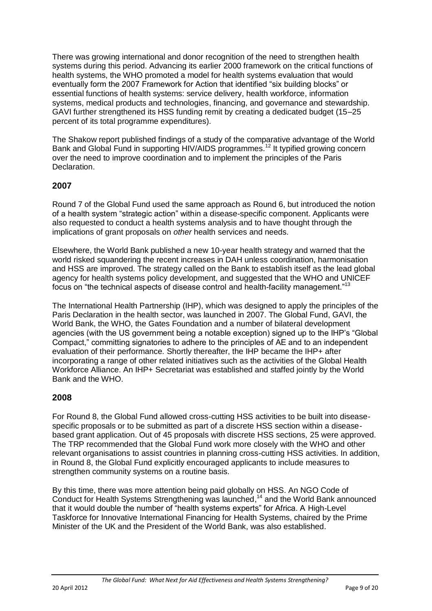There was growing international and donor recognition of the need to strengthen health systems during this period. Advancing its earlier 2000 framework on the critical functions of health systems, the WHO promoted a model for health systems evaluation that would eventually form the 2007 Framework for Action that identified "six building blocks" or essential functions of health systems: service delivery, health workforce, information systems, medical products and technologies, financing, and governance and stewardship. GAVI further strengthened its HSS funding remit by creating a dedicated budget (15–25 percent of its total programme expenditures).

The Shakow report published findings of a study of the comparative advantage of the World Bank and Global Fund in supporting HIV/AIDS programmes.<sup>12</sup> It typified growing concern over the need to improve coordination and to implement the principles of the Paris Declaration.

## **2007**

Round 7 of the Global Fund used the same approach as Round 6, but introduced the notion of a health system "strategic action" within a disease-specific component. Applicants were also requested to conduct a health systems analysis and to have thought through the implications of grant proposals on *other* health services and needs.

Elsewhere, the World Bank published a new 10-year health strategy and warned that the world risked squandering the recent increases in DAH unless coordination, harmonisation and HSS are improved. The strategy called on the Bank to establish itself as the lead global agency for health systems policy development, and suggested that the WHO and UNICEF focus on "the technical aspects of disease control and health-facility management."<sup>13</sup>

The International Health Partnership (IHP), which was designed to apply the principles of the Paris Declaration in the health sector, was launched in 2007. The Global Fund, GAVI, the World Bank, the WHO, the Gates Foundation and a number of bilateral development agencies (with the US government being a notable exception) signed up to the IHP"s "Global Compact," committing signatories to adhere to the principles of AE and to an independent evaluation of their performance. Shortly thereafter, the IHP became the IHP+ after incorporating a range of other related initiatives such as the activities of the Global Health Workforce Alliance. An IHP+ Secretariat was established and staffed jointly by the World Bank and the WHO.

## **2008**

For Round 8, the Global Fund allowed cross-cutting HSS activities to be built into diseasespecific proposals or to be submitted as part of a discrete HSS section within a diseasebased grant application. Out of 45 proposals with discrete HSS sections, 25 were approved. The TRP recommended that the Global Fund work more closely with the WHO and other relevant organisations to assist countries in planning cross-cutting HSS activities. In addition, in Round 8, the Global Fund explicitly encouraged applicants to include measures to strengthen community systems on a routine basis.

By this time, there was more attention being paid globally on HSS. An NGO Code of Conduct for Health Systems Strengthening was launched, <sup>14</sup> and the World Bank announced that it would double the number of "health systems experts" for Africa. A High-Level Taskforce for Innovative International Financing for Health Systems, chaired by the Prime Minister of the UK and the President of the World Bank, was also established.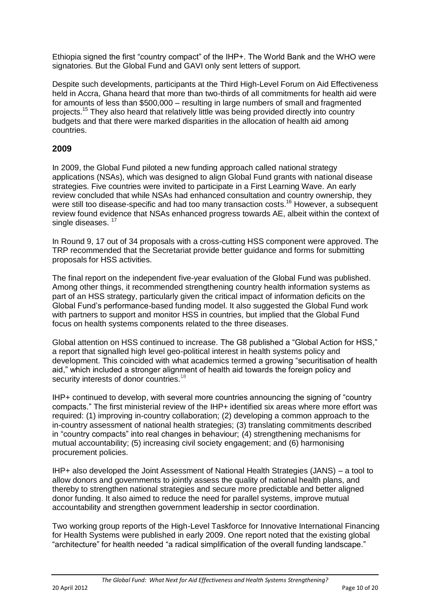Ethiopia signed the first "country compact" of the IHP+. The World Bank and the WHO were signatories. But the Global Fund and GAVI only sent letters of support.

Despite such developments, participants at the Third High-Level Forum on Aid Effectiveness held in Accra, Ghana heard that more than two-thirds of all commitments for health aid were for amounts of less than \$500,000 – resulting in large numbers of small and fragmented projects.<sup>15</sup> They also heard that relatively little was being provided directly into country budgets and that there were marked disparities in the allocation of health aid among countries.

### **2009**

In 2009, the Global Fund piloted a new funding approach called national strategy applications (NSAs), which was designed to align Global Fund grants with national disease strategies. Five countries were invited to participate in a First Learning Wave. An early review concluded that while NSAs had enhanced consultation and country ownership, they were still too disease-specific and had too many transaction costs.<sup>16</sup> However, a subsequent review found evidence that NSAs enhanced progress towards AE, albeit within the context of single diseases.<sup>17</sup>

In Round 9, 17 out of 34 proposals with a cross-cutting HSS component were approved. The TRP recommended that the Secretariat provide better guidance and forms for submitting proposals for HSS activities.

The final report on the independent five-year evaluation of the Global Fund was published. Among other things, it recommended strengthening country health information systems as part of an HSS strategy, particularly given the critical impact of information deficits on the Global Fund"s performance-based funding model. It also suggested the Global Fund work with partners to support and monitor HSS in countries, but implied that the Global Fund focus on health systems components related to the three diseases.

Global attention on HSS continued to increase. The G8 published a "Global Action for HSS," a report that signalled high level geo-political interest in health systems policy and development. This coincided with what academics termed a growing "securitisation of health aid," which included a stronger alignment of health aid towards the foreign policy and security interests of donor countries.<sup>18</sup>

IHP+ continued to develop, with several more countries announcing the signing of "country compacts." The first ministerial review of the IHP+ identified six areas where more effort was required: (1) improving in-country collaboration; (2) developing a common approach to the in-country assessment of national health strategies; (3) translating commitments described in "country compacts" into real changes in behaviour; (4) strengthening mechanisms for mutual accountability; (5) increasing civil society engagement; and (6) harmonising procurement policies.

IHP+ also developed the Joint Assessment of National Health Strategies (JANS) – a tool to allow donors and governments to jointly assess the quality of national health plans, and thereby to strengthen national strategies and secure more predictable and better aligned donor funding. It also aimed to reduce the need for parallel systems, improve mutual accountability and strengthen government leadership in sector coordination.

Two working group reports of the High-Level Taskforce for Innovative International Financing for Health Systems were published in early 2009. One report noted that the existing global "architecture" for health needed "a radical simplification of the overall funding landscape."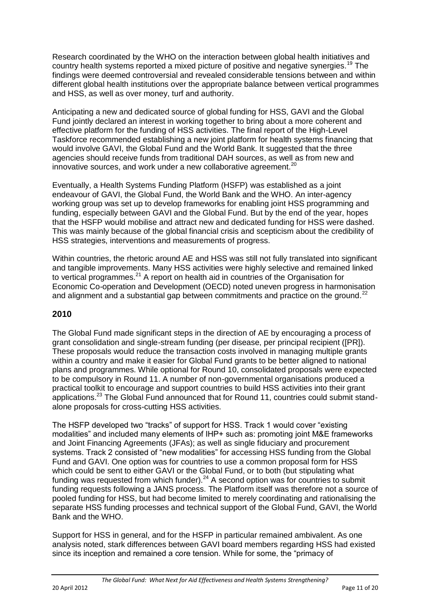Research coordinated by the WHO on the interaction between global health initiatives and country health systems reported a mixed picture of positive and negative synergies.<sup>19</sup> The findings were deemed controversial and revealed considerable tensions between and within different global health institutions over the appropriate balance between vertical programmes and HSS, as well as over money, turf and authority.

Anticipating a new and dedicated source of global funding for HSS, GAVI and the Global Fund jointly declared an interest in working together to bring about a more coherent and effective platform for the funding of HSS activities. The final report of the High-Level Taskforce recommended establishing a new joint platform for health systems financing that would involve GAVI, the Global Fund and the World Bank. It suggested that the three agencies should receive funds from traditional DAH sources, as well as from new and innovative sources, and work under a new collaborative agreement.<sup>20</sup>

Eventually, a Health Systems Funding Platform (HSFP) was established as a joint endeavour of GAVI, the Global Fund, the World Bank and the WHO. An inter-agency working group was set up to develop frameworks for enabling joint HSS programming and funding, especially between GAVI and the Global Fund. But by the end of the year, hopes that the HSFP would mobilise and attract new and dedicated funding for HSS were dashed. This was mainly because of the global financial crisis and scepticism about the credibility of HSS strategies, interventions and measurements of progress.

Within countries, the rhetoric around AE and HSS was still not fully translated into significant and tangible improvements. Many HSS activities were highly selective and remained linked to vertical programmes.<sup>21</sup> A report on health aid in countries of the Organisation for Economic Co-operation and Development (OECD) noted uneven progress in harmonisation and alignment and a substantial gap between commitments and practice on the ground.<sup>22</sup>

## **2010**

The Global Fund made significant steps in the direction of AE by encouraging a process of grant consolidation and single-stream funding (per disease, per principal recipient ([PR]). These proposals would reduce the transaction costs involved in managing multiple grants within a country and make it easier for Global Fund grants to be better aligned to national plans and programmes. While optional for Round 10, consolidated proposals were expected to be compulsory in Round 11. A number of non-governmental organisations produced a practical toolkit to encourage and support countries to build HSS activities into their grant applications.<sup>23</sup> The Global Fund announced that for Round 11, countries could submit standalone proposals for cross-cutting HSS activities.

The HSFP developed two "tracks" of support for HSS. Track 1 would cover "existing modalities" and included many elements of IHP+ such as: promoting joint M&E frameworks and Joint Financing Agreements (JFAs); as well as single fiduciary and procurement systems. Track 2 consisted of "new modalities" for accessing HSS funding from the Global Fund and GAVI. One option was for countries to use a common proposal form for HSS which could be sent to either GAVI or the Global Fund, or to both (but stipulating what funding was requested from which funder).<sup>24</sup> A second option was for countries to submit funding requests following a JANS process. The Platform itself was therefore not a source of pooled funding for HSS, but had become limited to merely coordinating and rationalising the separate HSS funding processes and technical support of the Global Fund, GAVI, the World Bank and the WHO.

Support for HSS in general, and for the HSFP in particular remained ambivalent. As one analysis noted, stark differences between GAVI board members regarding HSS had existed since its inception and remained a core tension. While for some, the "primacy of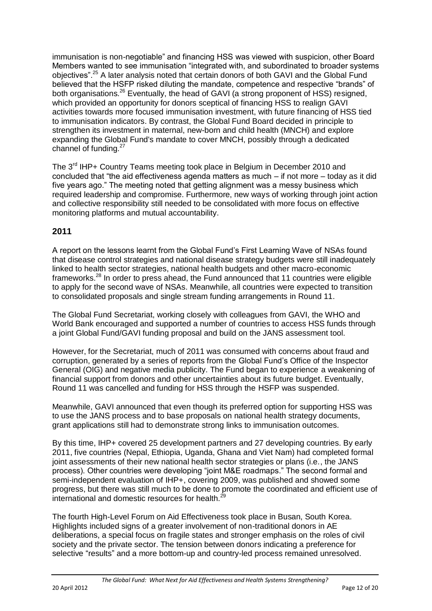immunisation is non-negotiable" and financing HSS was viewed with suspicion, other Board Members wanted to see immunisation "integrated with, and subordinated to broader systems objectives".<sup>25</sup> A later analysis noted that certain donors of both GAVI and the Global Fund believed that the HSFP risked diluting the mandate, competence and respective "brands" of both organisations.<sup>26</sup> Eventually, the head of GAVI (a strong proponent of HSS) resigned, which provided an opportunity for donors sceptical of financing HSS to realign GAVI activities towards more focused immunisation investment, with future financing of HSS tied to immunisation indicators. By contrast, the Global Fund Board decided in principle to strengthen its investment in maternal, new-born and child health (MNCH) and explore expanding the Global Fund's mandate to cover MNCH, possibly through a dedicated channel of funding.<sup>27</sup>

The 3<sup>rd</sup> IHP+ Country Teams meeting took place in Belgium in December 2010 and concluded that "the aid effectiveness agenda matters as much – if not more – today as it did five years ago." The meeting noted that getting alignment was a messy business which required leadership and compromise. Furthermore, new ways of working through joint action and collective responsibility still needed to be consolidated with more focus on effective monitoring platforms and mutual accountability.

# **2011**

A report on the lessons learnt from the Global Fund"s First Learning Wave of NSAs found that disease control strategies and national disease strategy budgets were still inadequately linked to health sector strategies, national health budgets and other macro-economic frameworks.<sup>28</sup> In order to press ahead, the Fund announced that 11 countries were eligible to apply for the second wave of NSAs. Meanwhile, all countries were expected to transition to consolidated proposals and single stream funding arrangements in Round 11.

The Global Fund Secretariat, working closely with colleagues from GAVI, the WHO and World Bank encouraged and supported a number of countries to access HSS funds through a joint Global Fund/GAVI funding proposal and build on the JANS assessment tool.

However, for the Secretariat, much of 2011 was consumed with concerns about fraud and corruption, generated by a series of reports from the Global Fund"s Office of the Inspector General (OIG) and negative media publicity. The Fund began to experience a weakening of financial support from donors and other uncertainties about its future budget. Eventually, Round 11 was cancelled and funding for HSS through the HSFP was suspended.

Meanwhile, GAVI announced that even though its preferred option for supporting HSS was to use the JANS process and to base proposals on national health strategy documents, grant applications still had to demonstrate strong links to immunisation outcomes.

By this time, IHP+ covered 25 development partners and 27 developing countries. By early 2011, five countries (Nepal, Ethiopia, Uganda, Ghana and Viet Nam) had completed formal joint assessments of their new national health sector strategies or plans (i.e., the JANS process). Other countries were developing "joint M&E roadmaps." The second formal and semi-independent evaluation of IHP+, covering 2009, was published and showed some progress, but there was still much to be done to promote the coordinated and efficient use of international and domestic resources for health.<sup>29</sup>

The fourth High-Level Forum on Aid Effectiveness took place in Busan, South Korea. Highlights included signs of a greater involvement of non-traditional donors in AE deliberations, a special focus on fragile states and stronger emphasis on the roles of civil society and the private sector. The tension between donors indicating a preference for selective "results" and a more bottom-up and country-led process remained unresolved.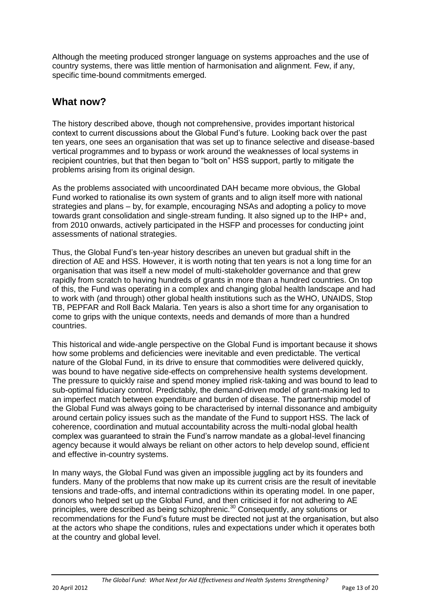Although the meeting produced stronger language on systems approaches and the use of country systems, there was little mention of harmonisation and alignment. Few, if any, specific time-bound commitments emerged.

# **What now?**

The history described above, though not comprehensive, provides important historical context to current discussions about the Global Fund"s future. Looking back over the past ten years, one sees an organisation that was set up to finance selective and disease-based vertical programmes and to bypass or work around the weaknesses of local systems in recipient countries, but that then began to "bolt on" HSS support, partly to mitigate the problems arising from its original design.

As the problems associated with uncoordinated DAH became more obvious, the Global Fund worked to rationalise its own system of grants and to align itself more with national strategies and plans – by, for example, encouraging NSAs and adopting a policy to move towards grant consolidation and single-stream funding. It also signed up to the IHP+ and, from 2010 onwards, actively participated in the HSFP and processes for conducting joint assessments of national strategies.

Thus, the Global Fund"s ten-year history describes an uneven but gradual shift in the direction of AE and HSS. However, it is worth noting that ten years is not a long time for an organisation that was itself a new model of multi-stakeholder governance and that grew rapidly from scratch to having hundreds of grants in more than a hundred countries. On top of this, the Fund was operating in a complex and changing global health landscape and had to work with (and through) other global health institutions such as the WHO, UNAIDS, Stop TB, PEPFAR and Roll Back Malaria. Ten years is also a short time for any organisation to come to grips with the unique contexts, needs and demands of more than a hundred countries.

This historical and wide-angle perspective on the Global Fund is important because it shows how some problems and deficiencies were inevitable and even predictable. The vertical nature of the Global Fund, in its drive to ensure that commodities were delivered quickly, was bound to have negative side-effects on comprehensive health systems development. The pressure to quickly raise and spend money implied risk-taking and was bound to lead to sub-optimal fiduciary control. Predictably, the demand-driven model of grant-making led to an imperfect match between expenditure and burden of disease. The partnership model of the Global Fund was always going to be characterised by internal dissonance and ambiguity around certain policy issues such as the mandate of the Fund to support HSS. The lack of coherence, coordination and mutual accountability across the multi-nodal global health complex was guaranteed to strain the Fund"s narrow mandate as a global-level financing agency because it would always be reliant on other actors to help develop sound, efficient and effective in-country systems.

In many ways, the Global Fund was given an impossible juggling act by its founders and funders. Many of the problems that now make up its current crisis are the result of inevitable tensions and trade-offs, and internal contradictions within its operating model. In one paper, donors who helped set up the Global Fund, and then criticised it for not adhering to AE principles, were described as being schizophrenic.<sup>30</sup> Consequently, any solutions or recommendations for the Fund"s future must be directed not just at the organisation, but also at the actors who shape the conditions, rules and expectations under which it operates both at the country and global level.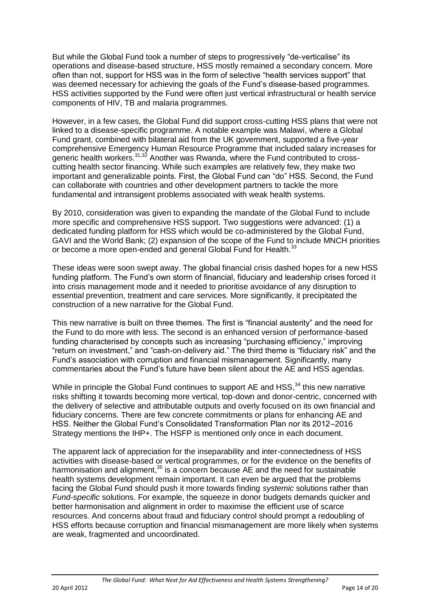But while the Global Fund took a number of steps to progressively "de-verticalise" its operations and disease-based structure, HSS mostly remained a secondary concern. More often than not, support for HSS was in the form of selective "health services support" that was deemed necessary for achieving the goals of the Fund"s disease-based programmes. HSS activities supported by the Fund were often just vertical infrastructural or health service components of HIV, TB and malaria programmes.

However, in a few cases, the Global Fund did support cross-cutting HSS plans that were not linked to a disease-specific programme. A notable example was Malawi, where a Global Fund grant, combined with bilateral aid from the UK government, supported a five-year comprehensive Emergency Human Resource Programme that included salary increases for generic health workers.<sup>31,32</sup> Another was Rwanda, where the Fund contributed to crosscutting health sector financing. While such examples are relatively few, they make two important and generalizable points. First, the Global Fund can "do" HSS. Second, the Fund can collaborate with countries and other development partners to tackle the more fundamental and intransigent problems associated with weak health systems.

By 2010, consideration was given to expanding the mandate of the Global Fund to include more specific and comprehensive HSS support. Two suggestions were advanced: (1) a dedicated funding platform for HSS which would be co-administered by the Global Fund, GAVI and the World Bank; (2) expansion of the scope of the Fund to include MNCH priorities or become a more open-ended and general Global Fund for Health.<sup>33</sup>

These ideas were soon swept away. The global financial crisis dashed hopes for a new HSS funding platform. The Fund's own storm of financial, fiduciary and leadership crises forced it into crisis management mode and it needed to prioritise avoidance of any disruption to essential prevention, treatment and care services. More significantly, it precipitated the construction of a new narrative for the Global Fund.

This new narrative is built on three themes. The first is "financial austerity" and the need for the Fund to do more with less. The second is an enhanced version of performance-based funding characterised by concepts such as increasing "purchasing efficiency," improving "return on investment," and "cash-on-delivery aid." The third theme is "fiduciary risk" and the Fund"s association with corruption and financial mismanagement. Significantly, many commentaries about the Fund"s future have been silent about the AE and HSS agendas.

While in principle the Global Fund continues to support AE and HSS, $34$  this new narrative risks shifting it towards becoming more vertical, top-down and donor-centric, concerned with the delivery of selective and attributable outputs and overly focused on its own financial and fiduciary concerns. There are few concrete commitments or plans for enhancing AE and HSS. Neither the Global Fund"s Consolidated Transformation Plan nor its 2012–2016 Strategy mentions the IHP+. The HSFP is mentioned only once in each document.

The apparent lack of appreciation for the inseparability and inter-connectedness of HSS activities with disease-based or vertical programmes, or for the evidence on the benefits of harmonisation and alignment,<sup>35</sup> is a concern because AE and the need for sustainable health systems development remain important. It can even be argued that the problems facing the Global Fund should push it more towards finding *systemic* solutions rather than *Fund-specific* solutions. For example, the squeeze in donor budgets demands quicker and better harmonisation and alignment in order to maximise the efficient use of scarce resources. And concerns about fraud and fiduciary control should prompt a redoubling of HSS efforts because corruption and financial mismanagement are more likely when systems are weak, fragmented and uncoordinated.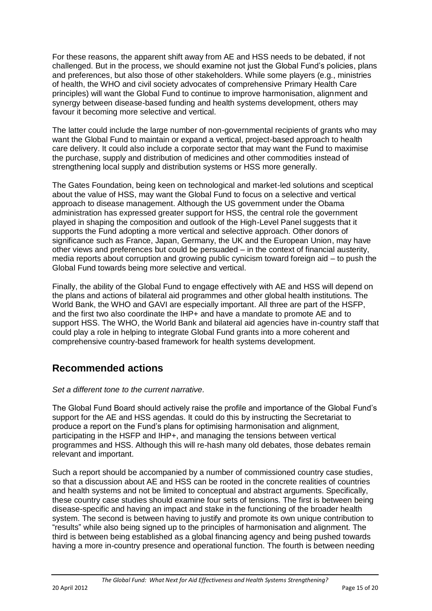For these reasons, the apparent shift away from AE and HSS needs to be debated, if not challenged. But in the process, we should examine not just the Global Fund"s policies, plans and preferences, but also those of other stakeholders. While some players (e.g., ministries of health, the WHO and civil society advocates of comprehensive Primary Health Care principles) will want the Global Fund to continue to improve harmonisation, alignment and synergy between disease-based funding and health systems development, others may favour it becoming more selective and vertical.

The latter could include the large number of non-governmental recipients of grants who may want the Global Fund to maintain or expand a vertical, project-based approach to health care delivery. It could also include a corporate sector that may want the Fund to maximise the purchase, supply and distribution of medicines and other commodities instead of strengthening local supply and distribution systems or HSS more generally.

The Gates Foundation, being keen on technological and market-led solutions and sceptical about the value of HSS, may want the Global Fund to focus on a selective and vertical approach to disease management. Although the US government under the Obama administration has expressed greater support for HSS, the central role the government played in shaping the composition and outlook of the High-Level Panel suggests that it supports the Fund adopting a more vertical and selective approach. Other donors of significance such as France, Japan, Germany, the UK and the European Union, may have other views and preferences but could be persuaded – in the context of financial austerity, media reports about corruption and growing public cynicism toward foreign aid – to push the Global Fund towards being more selective and vertical.

Finally, the ability of the Global Fund to engage effectively with AE and HSS will depend on the plans and actions of bilateral aid programmes and other global health institutions. The World Bank, the WHO and GAVI are especially important. All three are part of the HSFP, and the first two also coordinate the IHP+ and have a mandate to promote AE and to support HSS. The WHO, the World Bank and bilateral aid agencies have in-country staff that could play a role in helping to integrate Global Fund grants into a more coherent and comprehensive country-based framework for health systems development.

# **Recommended actions**

## *Set a different tone to the current narrative.*

The Global Fund Board should actively raise the profile and importance of the Global Fund"s support for the AE and HSS agendas. It could do this by instructing the Secretariat to produce a report on the Fund"s plans for optimising harmonisation and alignment, participating in the HSFP and IHP+, and managing the tensions between vertical programmes and HSS. Although this will re-hash many old debates, those debates remain relevant and important.

Such a report should be accompanied by a number of commissioned country case studies, so that a discussion about AE and HSS can be rooted in the concrete realities of countries and health systems and not be limited to conceptual and abstract arguments. Specifically, these country case studies should examine four sets of tensions. The first is between being disease-specific and having an impact and stake in the functioning of the broader health system. The second is between having to justify and promote its own unique contribution to "results" while also being signed up to the principles of harmonisation and alignment. The third is between being established as a global financing agency and being pushed towards having a more in-country presence and operational function. The fourth is between needing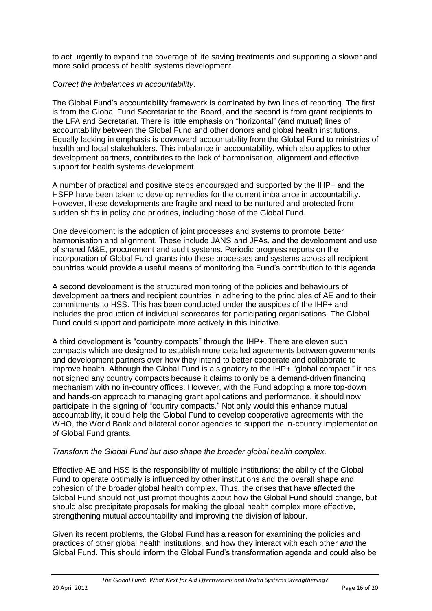to act urgently to expand the coverage of life saving treatments and supporting a slower and more solid process of health systems development.

### *Correct the imbalances in accountability.*

The Global Fund"s accountability framework is dominated by two lines of reporting. The first is from the Global Fund Secretariat to the Board, and the second is from grant recipients to the LFA and Secretariat. There is little emphasis on "horizontal" (and mutual) lines of accountability between the Global Fund and other donors and global health institutions. Equally lacking in emphasis is downward accountability from the Global Fund to ministries of health and local stakeholders. This imbalance in accountability, which also applies to other development partners, contributes to the lack of harmonisation, alignment and effective support for health systems development.

A number of practical and positive steps encouraged and supported by the IHP+ and the HSFP have been taken to develop remedies for the current imbalance in accountability. However, these developments are fragile and need to be nurtured and protected from sudden shifts in policy and priorities, including those of the Global Fund.

One development is the adoption of joint processes and systems to promote better harmonisation and alignment. These include JANS and JFAs, and the development and use of shared M&E, procurement and audit systems. Periodic progress reports on the incorporation of Global Fund grants into these processes and systems across all recipient countries would provide a useful means of monitoring the Fund"s contribution to this agenda.

A second development is the structured monitoring of the policies and behaviours of development partners and recipient countries in adhering to the principles of AE and to their commitments to HSS. This has been conducted under the auspices of the IHP+ and includes the production of individual scorecards for participating organisations. The Global Fund could support and participate more actively in this initiative.

A third development is "country compacts" through the IHP+. There are eleven such compacts which are designed to establish more detailed agreements between governments and development partners over how they intend to better cooperate and collaborate to improve health. Although the Global Fund is a signatory to the IHP+ "global compact," it has not signed any country compacts because it claims to only be a demand-driven financing mechanism with no in-country offices. However, with the Fund adopting a more top-down and hands-on approach to managing grant applications and performance, it should now participate in the signing of "country compacts." Not only would this enhance mutual accountability, it could help the Global Fund to develop cooperative agreements with the WHO, the World Bank and bilateral donor agencies to support the in-country implementation of Global Fund grants.

#### *Transform the Global Fund but also shape the broader global health complex.*

Effective AE and HSS is the responsibility of multiple institutions; the ability of the Global Fund to operate optimally is influenced by other institutions and the overall shape and cohesion of the broader global health complex. Thus, the crises that have affected the Global Fund should not just prompt thoughts about how the Global Fund should change, but should also precipitate proposals for making the global health complex more effective, strengthening mutual accountability and improving the division of labour.

Given its recent problems, the Global Fund has a reason for examining the policies and practices of other global health institutions, and how they interact with each other *and* the Global Fund. This should inform the Global Fund"s transformation agenda and could also be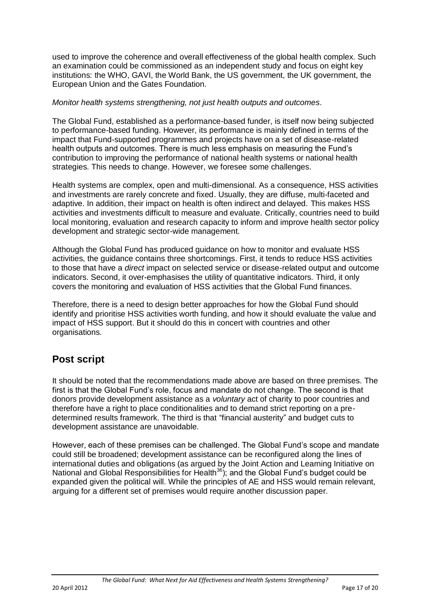used to improve the coherence and overall effectiveness of the global health complex. Such an examination could be commissioned as an independent study and focus on eight key institutions: the WHO, GAVI, the World Bank, the US government, the UK government, the European Union and the Gates Foundation.

#### *Monitor health systems strengthening, not just health outputs and outcomes.*

The Global Fund, established as a performance-based funder, is itself now being subjected to performance-based funding. However, its performance is mainly defined in terms of the impact that Fund-supported programmes and projects have on a set of disease-related health outputs and outcomes. There is much less emphasis on measuring the Fund"s contribution to improving the performance of national health systems or national health strategies. This needs to change. However, we foresee some challenges.

Health systems are complex, open and multi-dimensional. As a consequence, HSS activities and investments are rarely concrete and fixed. Usually, they are diffuse, multi-faceted and adaptive. In addition, their impact on health is often indirect and delayed. This makes HSS activities and investments difficult to measure and evaluate. Critically, countries need to build local monitoring, evaluation and research capacity to inform and improve health sector policy development and strategic sector-wide management.

Although the Global Fund has produced guidance on how to monitor and evaluate HSS activities, the guidance contains three shortcomings. First, it tends to reduce HSS activities to those that have a *direct* impact on selected service or disease-related output and outcome indicators. Second, it over-emphasises the utility of quantitative indicators. Third, it only covers the monitoring and evaluation of HSS activities that the Global Fund finances.

Therefore, there is a need to design better approaches for how the Global Fund should identify and prioritise HSS activities worth funding, and how it should evaluate the value and impact of HSS support. But it should do this in concert with countries and other organisations.

# **Post script**

It should be noted that the recommendations made above are based on three premises. The first is that the Global Fund"s role, focus and mandate do not change. The second is that donors provide development assistance as a *voluntary* act of charity to poor countries and therefore have a right to place conditionalities and to demand strict reporting on a predetermined results framework. The third is that "financial austerity" and budget cuts to development assistance are unavoidable.

However, each of these premises can be challenged. The Global Fund"s scope and mandate could still be broadened; development assistance can be reconfigured along the lines of international duties and obligations (as argued by the Joint Action and Learning Initiative on National and Global Responsibilities for Health<sup>36</sup>); and the Global Fund"s budget could be expanded given the political will. While the principles of AE and HSS would remain relevant, arguing for a different set of premises would require another discussion paper.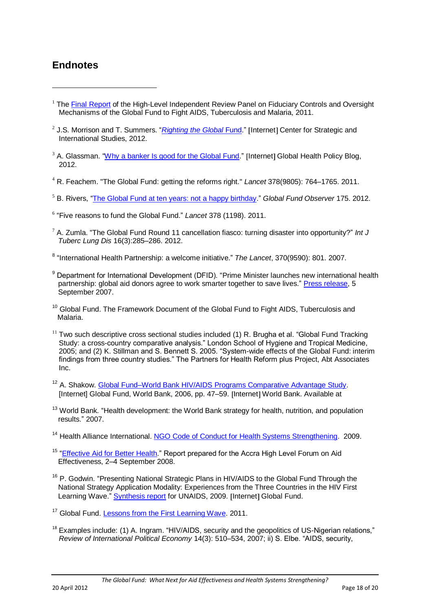# **Endnotes**

<u>.</u>

- <sup>1</sup> The [Final Report](http://www.theglobalfund.org/en/highlevelpanel/report/) of the High-Level Independent Review Panel on Fiduciary Controls and Oversight Mechanisms of the Global Fund to Fight AIDS, Tuberculosis and Malaria, 2011.
- <sup>2</sup> J.S. Morrison and T. Summers. "*[Righting the Global](http://csis.org/publication/righting-global-fund) Fund*." [Internet] Center for Strategic and International Studies, 2012.
- $3$  A. Glassman. ["Why a banker Is good for the Global Fund.](http://blogs.cgdev.org/globalhealth/2012/01/why-a-banker-is-good-for-the-global-fund.php)" [Internet] Global Health Policy Blog, 2012.
- <sup>4</sup> R. Feachem. "The Global Fund: getting the reforms right." *Lancet* 378(9805): 764–1765. 2011.
- <sup>5</sup> B. Rivers, ["The Global Fund at ten years: not a happy birthday.](http://www.aidspan.org/index.php?issue=175&article=1)" *Global Fund Observer* 175. 2012.
- 6 "Five reasons to fund the Global Fund." *Lancet* 378 (1198). 2011.
- <sup>7</sup> A. Zumla. "The Global Fund Round 11 cancellation fiasco: turning disaster into opportunity?" *Int J Tuberc Lung Dis* 16(3):285–286. 2012.
- 8 "International Health Partnership: a welcome initiative." *The Lancet*, 370(9590): 801. 2007.
- <sup>9</sup> Department for International Development (DFID). "Prime Minister launches new international health partnership: global aid donors agree to work smarter together to save lives." [Press release,](http://www.dfid.gov.uk/news/files/pressreleases/IHP+.asp) 5 September 2007.
- <sup>10</sup> Global Fund. The Framework Document of the Global Fund to Fight AIDS, Tuberculosis and Malaria.
- $11$  Two such descriptive cross sectional studies included (1) R. Brugha et al. "Global Fund Tracking Study: a cross-country comparative analysis." London School of Hygiene and Tropical Medicine, 2005; and (2) K. Stillman and S. Bennett S. 2005. "System-wide effects of the Global Fund: interim findings from three country studies." The Partners for Health Reform plus Project, Abt Associates Inc.
- <sup>12</sup> A. Shakow. [Global Fund–World Bank HIV/AIDS Programs Comparative Advantage Study.](http://siteresources.worldbank.org/INTHIVAIDS/Resources/375798-1103037153392/GFWBReportFinalVersion.pdf) [Internet] Global Fund, World Bank, 2006, pp. 47–59. Internet World Bank. Available at
- <sup>13</sup> World Bank. "Health development: the World Bank strategy for health, nutrition, and population results." 2007.
- <sup>14</sup> Health Alliance International, [NGO Code of Conduct for Health Systems Strengthening.](http://www.ngocodeofconduct.org/pdf/ngocodeofconduct.pdf) 2009.
- <sup>15</sup> ["Effective Aid for Better Health.](http://www.who.int/hdp/publications/effectiveaid_betterhealth_en.pdf)" Report prepared for the Accra High Level Forum on Aid Effectiveness, 2–4 September 2008.
- <sup>16</sup> P. Godwin. "Presenting National Strategic Plans in HIV/AIDS to the Global Fund Through the National Strategy Application Modality: Experiences from the Three Countries in the HIV First Learning Wave." [Synthesis report](http://www.theglobalfund.org/documents/nsa/NSA_NSPSynthesisUNAIDS_Report_en) for UNAIDS, 2009. [Internet] Global Fund.
- <sup>17</sup> Global Fund. [Lessons from the First Learning Wave.](http://www.theglobalfund.org/documents/nsa/wave02/NSA_FirstLearningWave_Lessons_en) 2011.
- <sup>18</sup> Examples include: (1) A. Ingram. "HIV/AIDS, security and the geopolitics of US-Nigerian relations," *Review of International Political Economy* 14(3): 510–534, 2007; ii) S. Elbe. "AIDS, security,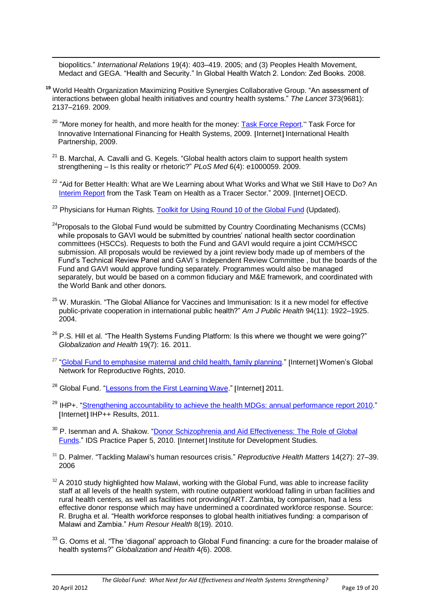biopolitics." *International Relations* 19(4): 403–419. 2005; and (3) Peoples Health Movement, Medact and GEGA. "Health and Security." In Global Health Watch 2. London: Zed Books. 2008.

- **<sup>19</sup>** World Health Organization Maximizing Positive Synergies Collaborative Group. "An assessment of interactions between global health initiatives and country health systems." *The Lancet* 373(9681): 2137–2169. 2009.
	- <sup>20</sup> "More monev for health, and more health for the money: **Task Force Report**." Task Force for Innovative International Financing for Health Systems, 2009. Internet International Health Partnership, 2009.
	- $21$  B. Marchal, A. Cavalli and G. Kegels. "Global health actors claim to support health system strengthening – Is this reality or rhetoric?" *PLoS Med* 6(4): e1000059. 2009.
	- <sup>22</sup> "Aid for Better Health: What are We Learning about What Works and What we Still Have to Do? An [Interim Report](http://www.oecd.org/dataoecd/25/54/45014642.pdf) from the Task Team on Health as a Tracer Sector." 2009. [Internet] OECD.
	- <sup>23</sup> Physicians for Human Rights. [Toolkit for Using Round 10 of the Global Fund](http://physiciansforhumanrights.org/library/other/toolkit-round10-global-fund.html) (Updated).
	- $24$ Proposals to the Global Fund would be submitted by Country Coordinating Mechanisms (CCMs) while proposals to GAVI would be submitted by countries' national health sector coordination committees (HSCCs). Requests to both the Fund and GAVI would require a joint CCM/HSCC submission. All proposals would be reviewed by a joint review body made up of members of the Fund"s Technical Review Panel and GAVI´s Independent Review Committee , but the boards of the Fund and GAVI would approve funding separately. Programmes would also be managed separately, but would be based on a common fiduciary and M&E framework, and coordinated with the World Bank and other donors.
	- <sup>25</sup> W. Muraskin. "The Global Alliance for Vaccines and Immunisation: Is it a new model for effective public-private cooperation in international public health?" *Am J Public Health* 94(11): 1922–1925. 2004.
	- <sup>26</sup> P.S. Hill et al. "The Health Systems Funding Platform: Is this where we thought we were going?" *Globalization and Health* 19(7): 16. 2011.
	- <sup>27</sup> ["Global Fund to emphasise maternal and child health, family planning.](http://www.wgnrr.org/news/global-fund-emphasise-maternal-and-child-health-family-planning)" [Internet] Women's Global Network for Reproductive Rights, 2010.
	- <sup>28</sup> Global Fund. ["Lessons from the First Learning Wave.](http://www.theglobalfund.org/en/nsa/nsaapproach/firstlearningwave/)" [Internet] 2011.
	- <sup>29</sup> IHP+. ["Strengthening accountability to achieve the health MDGs: annual performance report 2010.](http://ihpresults.net/wp-content/uploads/2011/03/IHP%2B-Report_ENGLISH%2BCover.pdf)" [Internet] IHP++ Results, 2011.
	- <sup>30</sup> P. Isenman and A. Shakow. "Donor Schizophrenia and Aid Effectiveness: The Role of Global [Funds.](http://www.ids.ac.uk/go/idspublication/donor-schizophrenia-and-aid-effectiveness-the-role-of-global-funds-research-summary)" IDS Practice Paper 5, 2010. [Internet] Institute for Development Studies.
	- <sup>31</sup> D. Palmer. "Tackling Malawi's human resources crisis." *Reproductive Health Matters* 14(27): 27–39. 2006
	- $32$  A 2010 study highlighted how Malawi, working with the Global Fund, was able to increase facility staff at all levels of the health system, with routine outpatient workload falling in urban facilities and rural health centers, as well as facilities not providing(ART. Zambia, by comparison, had a less effective donor response which may have undermined a coordinated workforce response. Source: R. Brugha et al. "Health workforce responses to global health initiatives funding: a comparison of Malawi and Zambia." *Hum Resour Health* 8(19). 2010.
	- <sup>33</sup> G. Ooms et al. "The 'diagonal' approach to Global Fund financing: a cure for the broader malaise of health systems?" *Globalization and Health* 4*(*6). 2008.

<u>.</u>